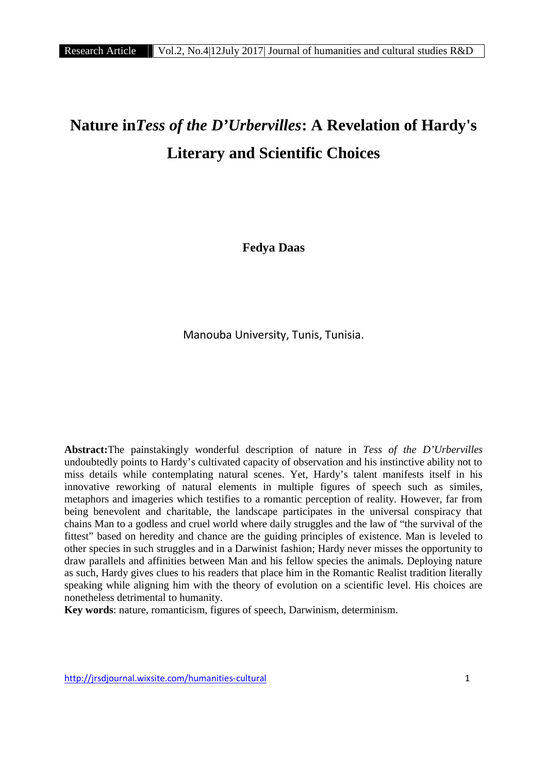# **Nature in***Tess of the D'Urbervilles***: A Revelation of Hardy's Literary and Scientific Choices**

**Fedya Daas**

Manouba University, Tunis, Tunisia.

**Abstract:**The painstakingly wonderful description of nature in *Tess of the D'Urbervilles* undoubtedly points to Hardy's cultivated capacity of observation and his instinctive ability not to miss details while contemplating natural scenes. Yet, Hardy's talent manifests itself in his innovative reworking of natural elements in multiple figures of speech such as similes, metaphors and imageries which testifies to a romantic perception of reality. However, far from being benevolent and charitable, the landscape participates in the universal conspiracy that chains Man to a godless and cruel world where daily struggles and the law of "the survival of the fittest" based on heredity and chance are the guiding principles of existence. Man is leveled to other species in such struggles and in a Darwinist fashion; Hardy never misses the opportunity to draw parallels and affinities between Man and his fellow species the animals. Deploying nature as such, Hardy gives clues to his readers that place him in the Romantic Realist tradition literally speaking while aligning him with the theory of evolution on a scientific level. His choices are nonetheless detrimental to humanity.

**Key words**: nature, romanticism, figures of speech, Darwinism, determinism.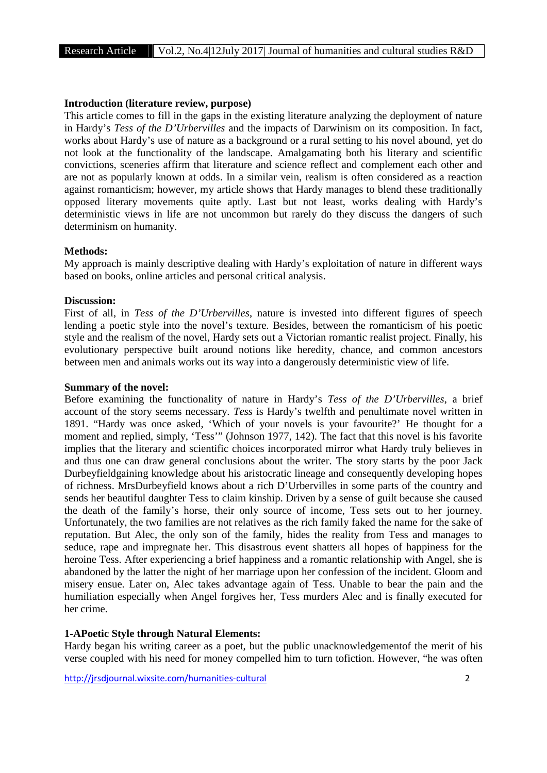#### **Introduction (literature review, purpose)**

This article comes to fill in the gaps in the existing literature analyzing the deployment of nature in Hardy's *Tess of the D'Urbervilles* and the impacts of Darwinism on its composition. In fact, works about Hardy's use of nature as a background or a rural setting to his novel abound, yet do not look at the functionality of the landscape. Amalgamating both his literary and scientific convictions, sceneries affirm that literature and science reflect and complement each other and are not as popularly known at odds. In a similar vein, realism is often considered as a reaction against romanticism; however, my article shows that Hardy manages to blend these traditionally opposed literary movements quite aptly. Last but not least, works dealing with Hardy's deterministic views in life are not uncommon but rarely do they discuss the dangers of such determinism on humanity.

#### **Methods:**

My approach is mainly descriptive dealing with Hardy's exploitation of nature in different ways based on books, online articles and personal critical analysis.

## **Discussion:**

First of all, in *Tess of the D'Urbervilles*, nature is invested into different figures of speech lending a poetic style into the novel's texture. Besides, between the romanticism of his poetic style and the realism of the novel, Hardy sets out a Victorian romantic realist project. Finally, his evolutionary perspective built around notions like heredity, chance, and common ancestors between men and animals works out its way into a dangerously deterministic view of life.

## **Summary of the novel:**

Before examining the functionality of nature in Hardy's *Tess of the D'Urbervilles*, a brief account of the story seems necessary. *Tess* is Hardy's twelfth and penultimate novel written in 1891. "Hardy was once asked, 'Which of your novels is your favourite?' He thought for a moment and replied, simply, 'Tess'" (Johnson 1977, 142). The fact that this novel is his favorite implies that the literary and scientific choices incorporated mirror what Hardy truly believes in and thus one can draw general conclusions about the writer. The story starts by the poor Jack Durbeyfieldgaining knowledge about his aristocratic lineage and consequently developing hopes of richness. MrsDurbeyfield knows about a rich D'Urbervilles in some parts of the country and sends her beautiful daughter Tess to claim kinship. Driven by a sense of guilt because she caused the death of the family's horse, their only source of income, Tess sets out to her journey. Unfortunately, the two families are not relatives as the rich family faked the name for the sake of reputation. But Alec, the only son of the family, hides the reality from Tess and manages to seduce, rape and impregnate her. This disastrous event shatters all hopes of happiness for the heroine Tess. After experiencing a brief happiness and a romantic relationship with Angel, she is abandoned by the latter the night of her marriage upon her confession of the incident. Gloom and misery ensue. Later on, Alec takes advantage again of Tess. Unable to bear the pain and the humiliation especially when Angel forgives her, Tess murders Alec and is finally executed for her crime.

#### **1-APoetic Style through Natural Elements:**

Hardy began his writing career as a poet, but the public unacknowledgementof the merit of his verse coupled with his need for money compelled him to turn tofiction. However, "he was often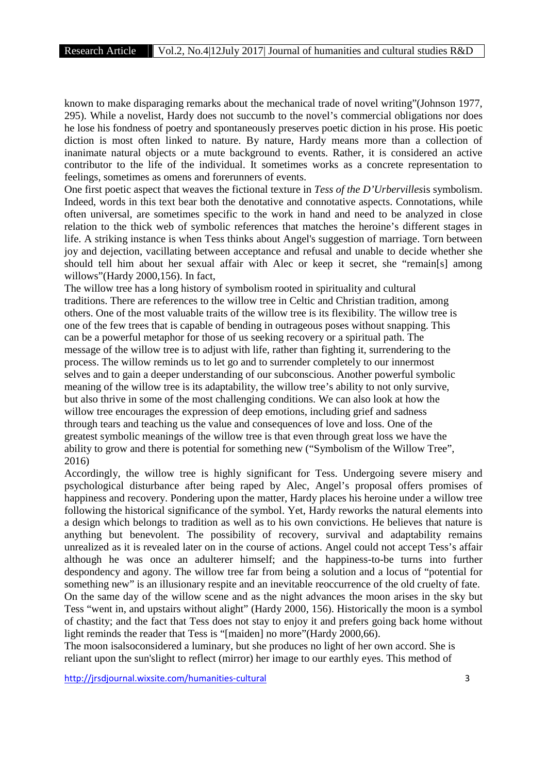known to make disparaging remarks about the mechanical trade of novel writing"(Johnson 1977, 295). While a novelist, Hardy does not succumb to the novel's commercial obligations nor does he lose his fondness of poetry and spontaneously preserves poetic diction in his prose. His poetic diction is most often linked to nature. By nature, Hardy means more than a collection of inanimate natural objects or a mute background to events. Rather, it is considered an active contributor to the life of the individual. It sometimes works as a concrete representation to feelings, sometimes as omens and forerunners of events.

One first poetic aspect that weaves the fictional texture in *Tess of the D'Urbervilles*is symbolism. Indeed, words in this text bear both the denotative and connotative aspects. Connotations, while often universal, are sometimes specific to the work in hand and need to be analyzed in close relation to the thick web of symbolic references that matches the heroine's different stages in life. A striking instance is when Tess thinks about Angel's suggestion of marriage. Torn between joy and dejection, vacillating between acceptance and refusal and unable to decide whether she should tell him about her sexual affair with Alec or keep it secret, she "remain[s] among willows"(Hardy 2000,156). In fact,

The willow tree has a long history of symbolism rooted in spirituality and cultural traditions. There are references to the willow tree in Celtic and Christian tradition, among others. One of the most valuable traits of the willow tree is its flexibility. The willow tree is one of the few trees that is capable of bending in outrageous poses without snapping. This can be a powerful metaphor for those of us seeking recovery or a spiritual path. The message of the willow tree is to adjust with life, rather than fighting it, surrendering to the process. The willow reminds us to let go and to surrender completely to our innermost selves and to gain a deeper understanding of our subconscious. Another powerful symbolic meaning of the willow tree is its adaptability, the willow tree's ability to not only survive, but also thrive in some of the most challenging conditions. We can also look at how the willow tree encourages the expression of deep emotions, including grief and sadness through tears and teaching us the value and consequences of love and loss. One of the greatest symbolic meanings of the willow tree is that even through great loss we have the ability to grow and there is potential for something new ("Symbolism of the Willow Tree", 2016)

Accordingly, the willow tree is highly significant for Tess. Undergoing severe misery and psychological disturbance after being raped by Alec, Angel's proposal offers promises of happiness and recovery. Pondering upon the matter, Hardy places his heroine under a willow tree following the historical significance of the symbol. Yet, Hardy reworks the natural elements into a design which belongs to tradition as well as to his own convictions. He believes that nature is anything but benevolent. The possibility of recovery, survival and adaptability remains unrealized as it is revealed later on in the course of actions. Angel could not accept Tess's affair although he was once an adulterer himself; and the happiness-to-be turns into further despondency and agony. The willow tree far from being a solution and a locus of "potential for something new" is an illusionary respite and an inevitable reoccurrence of the old cruelty of fate. On the same day of the willow scene and as the night advances the moon arises in the sky but Tess "went in, and upstairs without alight" (Hardy 2000, 156). Historically the moon is a symbol of chastity; and the fact that Tess does not stay to enjoy it and prefers going back home without light reminds the reader that Tess is "[maiden] no more"(Hardy 2000,66).

The moon isalsoconsidered a luminary, but she produces no light of her own accord. She is reliant upon the sun'slight to reflect (mirror) her image to our earthly eyes. This method of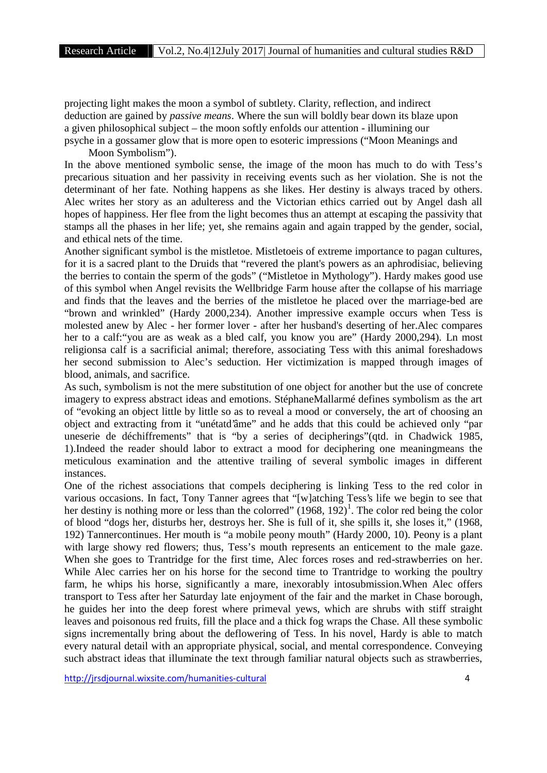projecting light makes the moon a symbol of subtlety. Clarity, reflection, and indirect deduction are gained by *passive means*. Where the sun will boldly bear down its blaze upon a given philosophical subject – the moon softly enfolds our attention - illumining our psyche in a gossamer glow that is more open to esoteric impressions ("Moon Meanings and Moon Symbolism").

In the above mentioned symbolic sense, the image of the moon has much to do with Tess's precarious situation and her passivity in receiving events such as her violation. She is not the determinant of her fate. Nothing happens as she likes. Her destiny is always traced by others. Alec writes her story as an adulteress and the Victorian ethics carried out by Angel dash all hopes of happiness. Her flee from the light becomes thus an attempt at escaping the passivity that stamps all the phases in her life; yet, she remains again and again trapped by the gender, social, and ethical nets of the time.

Another significant symbol is the mistletoe. Mistletoeis of extreme importance to pagan cultures, for it is a sacred plant to the Druids that "revered the plant's powers as an aphrodisiac, believing the berries to contain the sperm of the gods" ("Mistletoe in Mythology"). Hardy makes good use of this symbol when Angel revisits the Wellbridge Farm house after the collapse of his marriage and finds that the leaves and the berries of the mistletoe he placed over the marriage-bed are "brown and wrinkled" (Hardy 2000,234). Another impressive example occurs when Tess is molested anew by Alec - her former lover - after her husband's deserting of her.Alec compares her to a calf:"you are as weak as a bled calf, you know you are" (Hardy 2000,294). Ln most religionsa calf is a sacrificial animal; therefore, associating Tess with this animal foreshadows her second submission to Alec's seduction. Her victimization is mapped through images of blood, animals, and sacrifice.

As such, symbolism is not the mere substitution of one object for another but the use of concrete imagery to express abstract ideas and emotions. StéphaneMallarmé defines symbolism as the art of "evoking an object little by little so as to reveal a mood or conversely, the art of choosing an object and extracting from it "unétatd'âme" and he adds that this could be achieved only "par uneserie de déchiffrements" that is "by a series of decipherings"(qtd. in Chadwick 1985, 1).Indeed the reader should labor to extract a mood for deciphering one meaningmeans the meticulous examination and the attentive trailing of several symbolic images in different instances.

One of the richest associations that compels deciphering is linking Tess to the red color in various occasions. In fact, Tony Tanner agrees that "[w]atching Tess's life we begin to see that her destiny is nothing more or less than the colorred"  $(1968, 192)^{1}$ . The color red being the color of blood "dogs her, disturbs her, destroys her. She is full of it, she spills it, she loses it," (1968, 192) Tannercontinues. Her mouth is "a mobile peony mouth" (Hardy 2000, 10). Peony is a plant with large showy red flowers; thus, Tess's mouth represents an enticement to the male gaze. When she goes to Trantridge for the first time, Alec forces roses and red-strawberries on her. While Alec carries her on his horse for the second time to Trantridge to working the poultry farm, he whips his horse, significantly a mare, inexorably intosubmission.When Alec offers transport to Tess after her Saturday late enjoyment of the fair and the market in Chase borough, he guides her into the deep forest where primeval yews, which are shrubs with stiff straight leaves and poisonous red fruits, fill the place and a thick fog wraps the Chase. All these symbolic signs incrementally bring about the deflowering of Tess. In his novel, Hardy is able to match every natural detail with an appropriate physical, social, and mental correspondence. Conveying such abstract ideas that illuminate the text through familiar natural objects such as strawberries,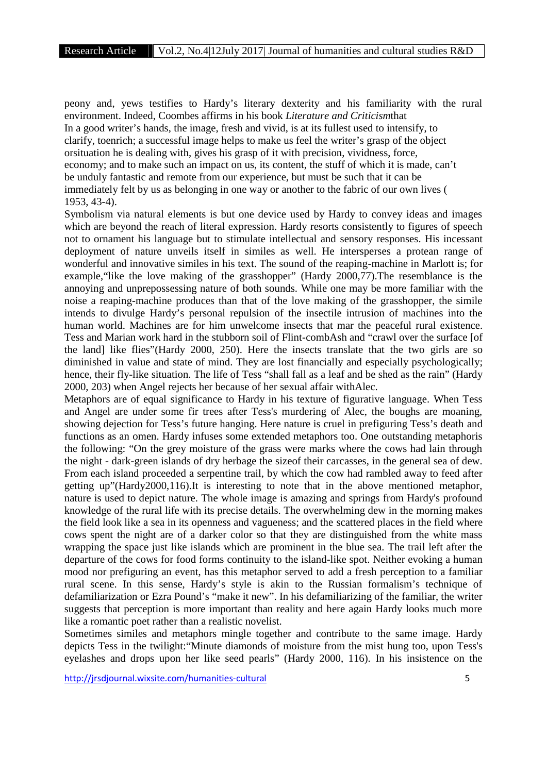peony and, yews testifies to Hardy's literary dexterity and his familiarity with the rural environment. Indeed, Coombes affirms in his book *Literature and Criticism*that In a good writer's hands, the image, fresh and vivid, is at its fullest used to intensify, to clarify, toenrich; a successful image helps to make us feel the writer's grasp of the object orsituation he is dealing with, gives his grasp of it with precision, vividness, force, economy; and to make such an impact on us, its content, the stuff of which it is made, can't be unduly fantastic and remote from our experience, but must be such that it can be immediately felt by us as belonging in one way or another to the fabric of our own lives ( 1953, 43-4).

Symbolism via natural elements is but one device used by Hardy to convey ideas and images which are beyond the reach of literal expression. Hardy resorts consistently to figures of speech not to ornament his language but to stimulate intellectual and sensory responses. His incessant deployment of nature unveils itself in similes as well. He intersperses a protean range of wonderful and innovative similes in his text. The sound of the reaping-machine in Marlott is; for example,"like the love making of the grasshopper" (Hardy 2000,77).The resemblance is the annoying and unprepossessing nature of both sounds. While one may be more familiar with the noise a reaping-machine produces than that of the love making of the grasshopper, the simile intends to divulge Hardy's personal repulsion of the insectile intrusion of machines into the human world. Machines are for him unwelcome insects that mar the peaceful rural existence. Tess and Marian work hard in the stubborn soil of Flint-combAsh and "crawl over the surface [of the land] like flies"(Hardy 2000, 250). Here the insects translate that the two girls are so diminished in value and state of mind. They are lost financially and especially psychologically; hence, their fly-like situation. The life of Tess "shall fall as a leaf and be shed as the rain" (Hardy 2000, 203) when Angel rejects her because of her sexual affair withAlec.

Metaphors are of equal significance to Hardy in his texture of figurative language. When Tess and Angel are under some fir trees after Tess's murdering of Alec, the boughs are moaning, showing dejection for Tess's future hanging. Here nature is cruel in prefiguring Tess's death and functions as an omen. Hardy infuses some extended metaphors too. One outstanding metaphoris the following: "On the grey moisture of the grass were marks where the cows had lain through the night - dark-green islands of dry herbage the sizeof their carcasses, in the general sea of dew. From each island proceeded a serpentine trail, by which the cow had rambled away to feed after getting up"(Hardy2000,116).It is interesting to note that in the above mentioned metaphor, nature is used to depict nature. The whole image is amazing and springs from Hardy's profound knowledge of the rural life with its precise details. The overwhelming dew in the morning makes the field look like a sea in its openness and vagueness; and the scattered places in the field where cows spent the night are of a darker color so that they are distinguished from the white mass wrapping the space just like islands which are prominent in the blue sea. The trail left after the departure of the cows for food forms continuity to the island-like spot. Neither evoking a human mood nor prefiguring an event, has this metaphor served to add a fresh perception to a familiar rural scene. In this sense, Hardy's style is akin to the Russian formalism's technique of defamiliarization or Ezra Pound's "make it new". In his defamiliarizing of the familiar, the writer suggests that perception is more important than reality and here again Hardy looks much more like a romantic poet rather than a realistic novelist.

Sometimes similes and metaphors mingle together and contribute to the same image. Hardy depicts Tess in the twilight:"Minute diamonds of moisture from the mist hung too, upon Tess's eyelashes and drops upon her like seed pearls" (Hardy 2000, 116). In his insistence on the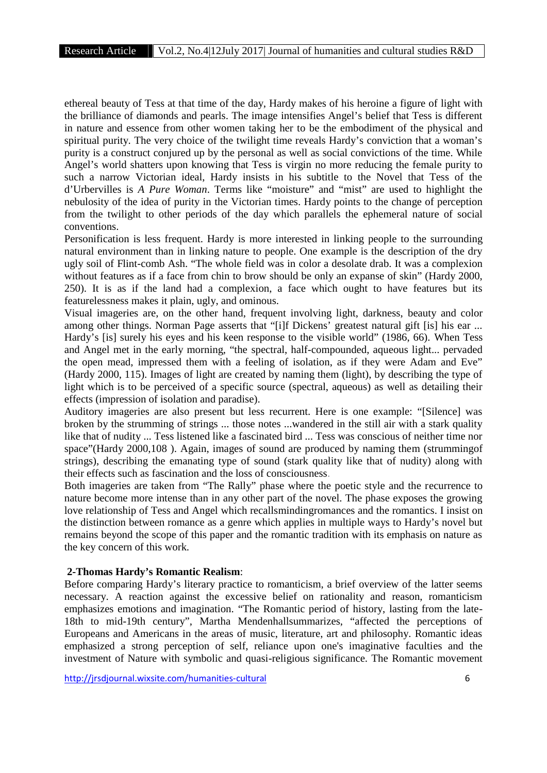ethereal beauty of Tess at that time of the day, Hardy makes of his heroine a figure of light with the brilliance of diamonds and pearls. The image intensifies Angel's belief that Tess is different in nature and essence from other women taking her to be the embodiment of the physical and spiritual purity. The very choice of the twilight time reveals Hardy's conviction that a woman's purity is a construct conjured up by the personal as well as social convictions of the time. While Angel's world shatters upon knowing that Tess is virgin no more reducing the female purity to such a narrow Victorian ideal, Hardy insists in his subtitle to the Novel that Tess of the d'Urbervilles is *A Pure Woman*. Terms like "moisture" and "mist" are used to highlight the nebulosity of the idea of purity in the Victorian times. Hardy points to the change of perception from the twilight to other periods of the day which parallels the ephemeral nature of social conventions.

Personification is less frequent. Hardy is more interested in linking people to the surrounding natural environment than in linking nature to people. One example is the description of the dry ugly soil of Flint-comb Ash. "The whole field was in color a desolate drab. It was a complexion without features as if a face from chin to brow should be only an expanse of skin" (Hardy 2000, 250). It is as if the land had a complexion, a face which ought to have features but its featurelessness makes it plain, ugly, and ominous.

Visual imageries are, on the other hand, frequent involving light, darkness, beauty and color among other things. Norman Page asserts that "[i]f Dickens' greatest natural gift [is] his ear ... Hardy's [is] surely his eyes and his keen response to the visible world" (1986, 66). When Tess and Angel met in the early morning, "the spectral, half-compounded, aqueous light... pervaded the open mead, impressed them with a feeling of isolation, as if they were Adam and Eve" (Hardy 2000, 115). Images of light are created by naming them (light), by describing the type of light which is to be perceived of a specific source (spectral, aqueous) as well as detailing their effects (impression of isolation and paradise).

Auditory imageries are also present but less recurrent. Here is one example: "[Silence] was broken by the strumming of strings ... those notes ...wandered in the still air with a stark quality like that of nudity ... Tess listened like a fascinated bird ... Tess was conscious of neither time nor space"(Hardy 2000,108 ). Again, images of sound are produced by naming them (strummingof strings), describing the emanating type of sound (stark quality like that of nudity) along with their effects such as fascination and the loss of consciousness.

Both imageries are taken from "The Rally" phase where the poetic style and the recurrence to nature become more intense than in any other part of the novel. The phase exposes the growing love relationship of Tess and Angel which recallsmindingromances and the romantics. I insist on the distinction between romance as a genre which applies in multiple ways to Hardy's novel but remains beyond the scope of this paper and the romantic tradition with its emphasis on nature as the key concern of this work.

#### **2-Thomas Hardy's Romantic Realism**:

Before comparing Hardy's literary practice to romanticism, a brief overview of the latter seems necessary. A reaction against the excessive belief on rationality and reason, romanticism emphasizes emotions and imagination. "The Romantic period of history, lasting from the late- 18th to mid-19th century", Martha Mendenhallsummarizes, "affected the perceptions of Europeans and Americans in the areas of music, literature, art and philosophy. Romantic ideas emphasized a strong perception of self, reliance upon one's imaginative faculties and the investment of Nature with symbolic and quasi-religious significance. The Romantic movement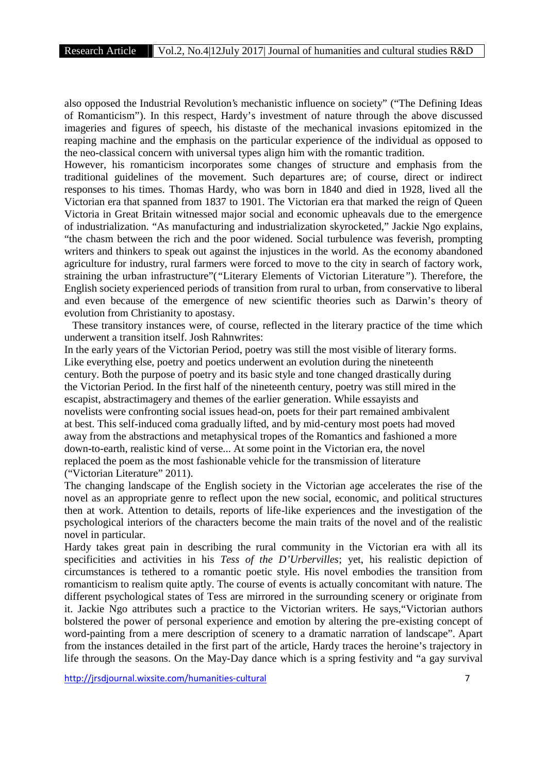also opposed the Industrial Revolution's mechanistic influence on society" ("The Defining Ideas of Romanticism"). In this respect, Hardy's investment of nature through the above discussed imageries and figures of speech, his distaste of the mechanical invasions epitomized in the reaping machine and the emphasis on the particular experience of the individual as opposed to the neo-classical concern with universal types align him with the romantic tradition.

However, his romanticism incorporates some changes of structure and emphasis from the traditional guidelines of the movement. Such departures are; of course, direct or indirect responses to his times. Thomas Hardy, who was born in 1840 and died in 1928, lived all the Victorian era that spanned from 1837 to 1901. The Victorian era that marked the reign of Queen Victoria in Great Britain witnessed major social and economic upheavals due to the emergence of industrialization. "As manufacturing and industrialization skyrocketed," Jackie Ngo explains, "the chasm between the rich and the poor widened. Social turbulence was feverish, prompting writers and thinkers to speak out against the injustices in the world. As the economy abandoned agriculture for industry, rural farmers were forced to move to the city in search of factory work, straining the urban infrastructure"(*"*Literary Elements of Victorian Literature*"*). Therefore, the English society experienced periods of transition from rural to urban, from conservative to liberal and even because of the emergence of new scientific theories such as Darwin's theory of evolution from Christianity to apostasy.

These transitory instances were, of course, reflected in the literary practice of the time which underwent a transition itself. Josh Rahnwrites:

In the early years of the Victorian Period, poetry was still the most visible of literary forms. Like everything else, poetry and poetics underwent an evolution during the nineteenth century. Both the purpose of poetry and its basic style and tone changed drastically during the Victorian Period. In the first half of the nineteenth century, poetry was still mired in the escapist, abstractimagery and themes of the earlier generation. While essayists and novelists were confronting social issues head-on, poets for their part remained ambivalent at best. This self-induced coma gradually lifted, and by mid-century most poets had moved away from the abstractions and metaphysical tropes of the Romantics and fashioned a more down-to-earth, realistic kind of verse... At some point in the Victorian era, the novel replaced the poem as the most fashionable vehicle for the transmission of literature ("Victorian Literature" 2011).

The changing landscape of the English society in the Victorian age accelerates the rise of the novel as an appropriate genre to reflect upon the new social, economic, and political structures then at work. Attention to details, reports of life-like experiences and the investigation of the psychological interiors of the characters become the main traits of the novel and of the realistic novel in particular.

Hardy takes great pain in describing the rural community in the Victorian era with all its specificities and activities in his *Tess of the D'Urbervilles*; yet, his realistic depiction of circumstances is tethered to a romantic poetic style. His novel embodies the transition from romanticism to realism quite aptly. The course of events is actually concomitant with nature. The different psychological states of Tess are mirrored in the surrounding scenery or originate from it. Jackie Ngo attributes such a practice to the Victorian writers. He says,"Victorian authors bolstered the power of personal experience and emotion by altering the pre-existing concept of word-painting from a mere description of scenery to a dramatic narration of landscape". Apart from the instances detailed in the first part of the article, Hardy traces the heroine's trajectory in life through the seasons. On the May-Day dance which is a spring festivity and "a gay survival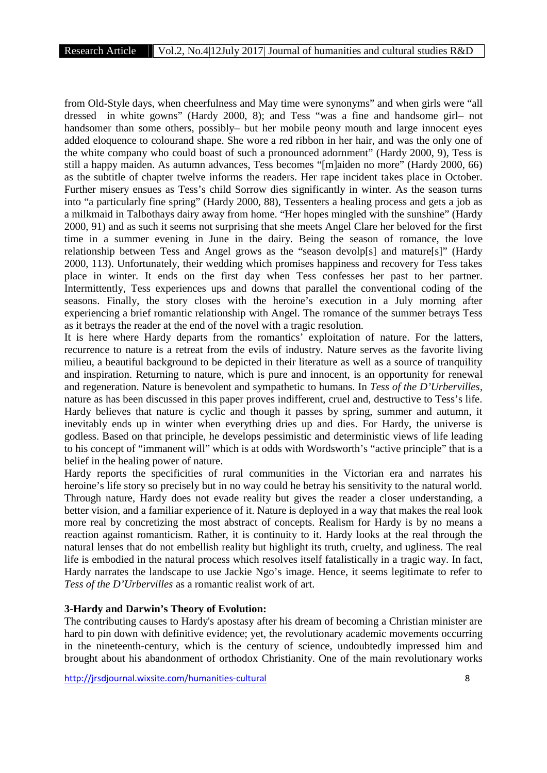from Old-Style days, when cheerfulness and May time were synonyms" and when girls were "all dressed in white gowns" (Hardy 2000, 8); and Tess "was a fine and handsome girl– not handsomer than some others, possibly– but her mobile peony mouth and large innocent eyes added eloquence to colourand shape. She wore a red ribbon in her hair, and was the only one of the white company who could boast of such a pronounced adornment" (Hardy 2000, 9), Tess is still a happy maiden. As autumn advances, Tess becomes "[m]aiden no more" (Hardy 2000, 66) as the subtitle of chapter twelve informs the readers. Her rape incident takes place in October. Further misery ensues as Tess's child Sorrow dies significantly in winter. As the season turns into "a particularly fine spring" (Hardy 2000, 88), Tessenters a healing process and gets a job as a milkmaid in Talbothays dairy away from home. "Her hopes mingled with the sunshine" (Hardy 2000, 91) and as such it seems not surprising that she meets Angel Clare her beloved for the first time in a summer evening in June in the dairy. Being the season of romance, the love relationship between Tess and Angel grows as the "season devolp[s] and mature[s]" (Hardy 2000, 113). Unfortunately, their wedding which promises happiness and recovery for Tess takes place in winter. It ends on the first day when Tess confesses her past to her partner. Intermittently, Tess experiences ups and downs that parallel the conventional coding of the seasons. Finally, the story closes with the heroine's execution in a July morning after experiencing a brief romantic relationship with Angel. The romance of the summer betrays Tess as it betrays the reader at the end of the novel with a tragic resolution.

It is here where Hardy departs from the romantics' exploitation of nature. For the latters, recurrence to nature is a retreat from the evils of industry. Nature serves as the favorite living milieu, a beautiful background to be depicted in their literature as well as a source of tranquility and inspiration. Returning to nature, which is pure and innocent, is an opportunity for renewal and regeneration. Nature is benevolent and sympathetic to humans. In *Tess of the D'Urbervilles*, nature as has been discussed in this paper proves indifferent, cruel and, destructive to Tess's life. Hardy believes that nature is cyclic and though it passes by spring, summer and autumn, it inevitably ends up in winter when everything dries up and dies. For Hardy, the universe is godless. Based on that principle, he develops pessimistic and deterministic views of life leading to his concept of "immanent will" which is at odds with Wordsworth's "active principle" that is a belief in the healing power of nature.

Hardy reports the specificities of rural communities in the Victorian era and narrates his heroine's life story so precisely but in no way could he betray his sensitivity to the natural world. Through nature, Hardy does not evade reality but gives the reader a closer understanding, a better vision, and a familiar experience of it. Nature is deployed in a way that makes the real look more real by concretizing the most abstract of concepts. Realism for Hardy is by no means a reaction against romanticism. Rather, it is continuity to it. Hardy looks at the real through the natural lenses that do not embellish reality but highlight its truth, cruelty, and ugliness. The real life is embodied in the natural process which resolves itself fatalistically in a tragic way. In fact, Hardy narrates the landscape to use Jackie Ngo's image. Hence, it seems legitimate to refer to *Tess of the D'Urbervilles* as a romantic realist work of art.

#### **3-Hardy and Darwin's Theory of Evolution:**

The contributing causes to Hardy's apostasy after his dream of becoming a Christian minister are hard to pin down with definitive evidence; yet, the revolutionary academic movements occurring in the nineteenth-century, which is the century of science, undoubtedly impressed him and brought about his abandonment of orthodox Christianity. One of the main revolutionary works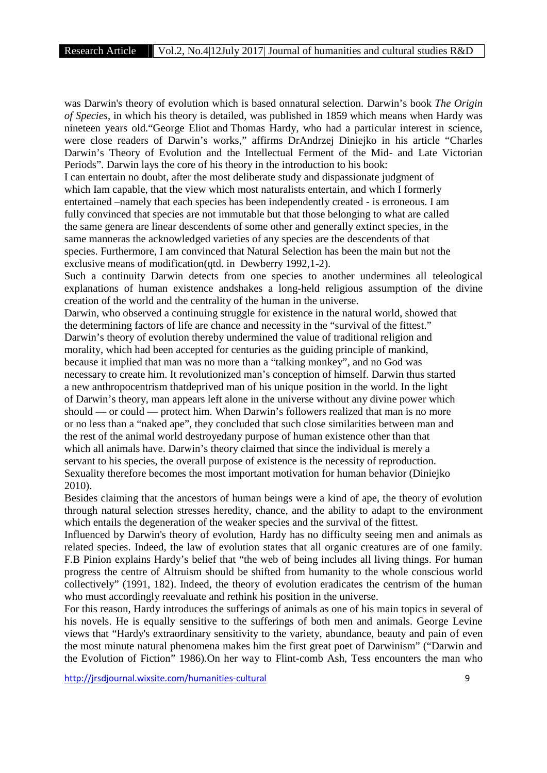was Darwin's theory of evolution which is based onnatural selection. Darwin's book *The Origin of Species*, in which his theory is detailed, was published in 1859 which means when Hardy was nineteen years old."George Eliot and Thomas Hardy, who had a particular interest in science, were close readers of Darwin's works," affirms DrAndrzej Diniejko in his article "Charles Darwin's Theory of Evolution and the Intellectual Ferment of the Mid- and Late Victorian Periods". Darwin lays the core of his theory in the introduction to his book:

I can entertain no doubt, after the most deliberate study and dispassionate judgment of which Iam capable, that the view which most naturalists entertain, and which I formerly entertained –namely that each species has been independently created - is erroneous. I am fully convinced that species are not immutable but that those belonging to what are called the same genera are linear descendents of some other and generally extinct species, in the same manneras the acknowledged varieties of any species are the descendents of that species. Furthermore, I am convinced that Natural Selection has been the main but not the exclusive means of modification(qtd. in Dewberry 1992,1-2).

Such a continuity Darwin detects from one species to another undermines all teleological explanations of human existence andshakes a long-held religious assumption of the divine creation of the world and the centrality of the human in the universe.

Darwin, who observed a continuing struggle for existence in the natural world, showed that the determining factors of life are chance and necessity in the "survival of the fittest." Darwin's theory of evolution thereby undermined the value of traditional religion and morality, which had been accepted for centuries as the guiding principle of mankind, because it implied that man was no more than a "talking monkey", and no God was necessary to create him. It revolutionized man's conception of himself. Darwin thus started a new anthropocentrism thatdeprived man of his unique position in the world. In the light of Darwin's theory, man appears left alone in the universe without any divine power which should — or could — protect him. When Darwin's followers realized that man is no more or no less than a "naked ape", they concluded that such close similarities between man and the rest of the animal world destroyedany purpose of human existence other than that which all animals have. Darwin's theory claimed that since the individual is merely a servant to his species, the overall purpose of existence is the necessity of reproduction. Sexuality therefore becomes the most important motivation for human behavior (Diniejko 2010).

Besides claiming that the ancestors of human beings were a kind of ape, the theory of evolution through natural selection stresses heredity, chance, and the ability to adapt to the environment which entails the degeneration of the weaker species and the survival of the fittest.

Influenced by Darwin's theory of evolution, Hardy has no difficulty seeing men and animals as related species. Indeed, the law of evolution states that all organic creatures are of one family. F.B Pinion explains Hardy's belief that "the web of being includes all living things. For human progress the centre of Altruism should be shifted from humanity to the whole conscious world collectively" (1991, 182). Indeed, the theory of evolution eradicates the centrism of the human who must accordingly reevaluate and rethink his position in the universe.

For this reason, Hardy introduces the sufferings of animals as one of his main topics in several of his novels. He is equally sensitive to the sufferings of both men and animals. George Levine views that "Hardy's extraordinary sensitivity to the variety, abundance, beauty and pain of even the most minute natural phenomena makes him the first great poet of Darwinism" ("Darwin and the Evolution of Fiction" 1986).On her way to Flint-comb Ash, Tess encounters the man who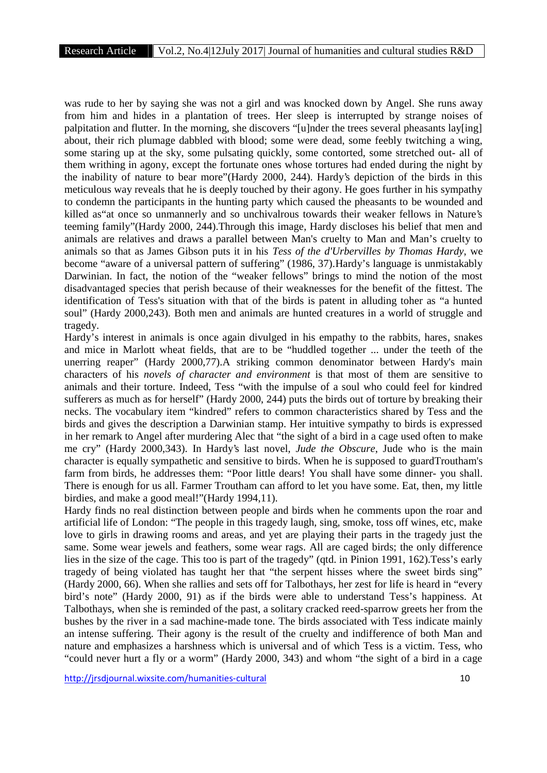was rude to her by saying she was not a girl and was knocked down by Angel. She runs away from him and hides in a plantation of trees. Her sleep is interrupted by strange noises of palpitation and flutter. In the morning, she discovers "[u]nder the trees several pheasants lay[ing] about, their rich plumage dabbled with blood; some were dead, some feebly twitching a wing, some staring up at the sky, some pulsating quickly, some contorted, some stretched out- all of them writhing in agony, except the fortunate ones whose tortures had ended during the night by the inability of nature to bear more"(Hardy 2000, 244). Hardy's depiction of the birds in this meticulous way reveals that he is deeply touched by their agony. He goes further in his sympathy to condemn the participants in the hunting party which caused the pheasants to be wounded and killed as"at once so unmannerly and so unchivalrous towards their weaker fellows in Nature's teeming family"(Hardy 2000, 244).Through this image, Hardy discloses his belief that men and animals are relatives and draws a parallel between Man's cruelty to Man and Man's cruelty to animals so that as James Gibson puts it in his *Tess of the d'Urbervilles by Thomas Hardy*, we become "aware of a universal pattern of suffering" (1986, 37).Hardy's language is unmistakably Darwinian. In fact, the notion of the "weaker fellows" brings to mind the notion of the most disadvantaged species that perish because of their weaknesses for the benefit of the fittest. The identification of Tess's situation with that of the birds is patent in alluding toher as "a hunted soul" (Hardy 2000,243). Both men and animals are hunted creatures in a world of struggle and tragedy.

Hardy's interest in animals is once again divulged in his empathy to the rabbits, hares, snakes and mice in Marlott wheat fields, that are to be "huddled together ... under the teeth of the unerring reaper" (Hardy 2000,77).A striking common denominator between Hardy's main characters of his *novels of character and environment* is that most of them are sensitive to animals and their torture. Indeed, Tess "with the impulse of a soul who could feel for kindred sufferers as much as for herself" (Hardy 2000, 244) puts the birds out of torture by breaking their necks. The vocabulary item "kindred" refers to common characteristics shared by Tess and the birds and gives the description a Darwinian stamp. Her intuitive sympathy to birds is expressed in her remark to Angel after murdering Alec that "the sight of a bird in a cage used often to make me cry" (Hardy 2000,343). In Hardy's last novel, *Jude the Obscure*, Jude who is the main character is equally sympathetic and sensitive to birds. When he is supposed to guardTroutham's farm from birds, he addresses them: "Poor little dears! You shall have some dinner- you shall. There is enough for us all. Farmer Troutham can afford to let you have some. Eat, then, my little birdies, and make a good meal!"(Hardy 1994,11).

Hardy finds no real distinction between people and birds when he comments upon the roar and artificial life of London: "The people in this tragedy laugh, sing, smoke, toss off wines, etc, make love to girls in drawing rooms and areas, and yet are playing their parts in the tragedy just the same. Some wear jewels and feathers, some wear rags. All are caged birds; the only difference lies in the size of the cage. This too is part of the tragedy" (qtd. in Pinion 1991, 162).Tess's early tragedy of being violated has taught her that "the serpent hisses where the sweet birds sing" (Hardy 2000, 66). When she rallies and sets off for Talbothays, her zest for life is heard in "every bird's note" (Hardy 2000, 91) as if the birds were able to understand Tess's happiness. At Talbothays, when she is reminded of the past, a solitary cracked reed-sparrow greets her from the bushes by the river in a sad machine-made tone. The birds associated with Tess indicate mainly an intense suffering. Their agony is the result of the cruelty and indifference of both Man and nature and emphasizes a harshness which is universal and of which Tess is a victim. Tess, who "could never hurt a fly or a worm" (Hardy 2000, 343) and whom "the sight of a bird in a cage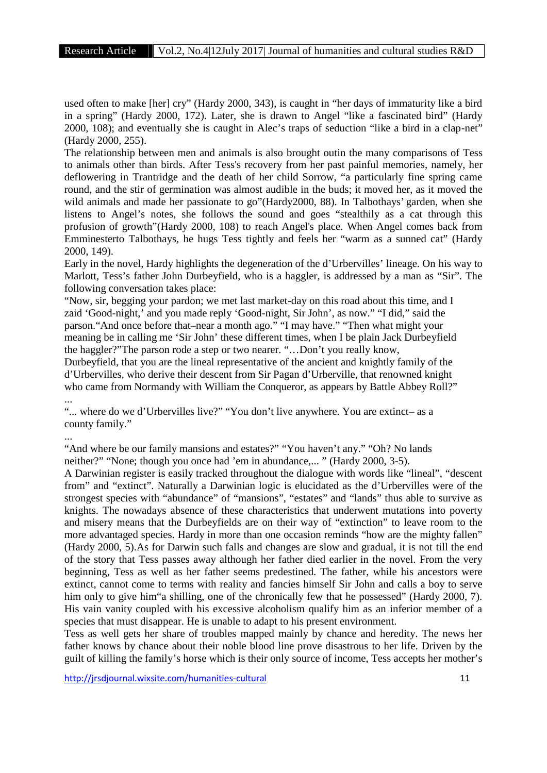used often to make [her] cry" (Hardy 2000, 343), is caught in "her days of immaturity like a bird in a spring" (Hardy 2000, 172). Later, she is drawn to Angel "like a fascinated bird" (Hardy 2000, 108); and eventually she is caught in Alec's traps of seduction "like a bird in a clap-net" (Hardy 2000, 255).

The relationship between men and animals is also brought outin the many comparisons of Tess to animals other than birds. After Tess's recovery from her past painful memories, namely, her deflowering in Trantridge and the death of her child Sorrow, "a particularly fine spring came round, and the stir of germination was almost audible in the buds; it moved her, as it moved the wild animals and made her passionate to go"(Hardy2000, 88). In Talbothays' garden, when she listens to Angel's notes, she follows the sound and goes "stealthily as a cat through this profusion of growth"(Hardy 2000, 108) to reach Angel's place. When Angel comes back from Emminesterto Talbothays, he hugs Tess tightly and feels her "warm as a sunned cat" (Hardy 2000, 149).

Early in the novel, Hardy highlights the degeneration of the d'Urbervilles' lineage. On his way to Marlott, Tess's father John Durbeyfield, who is a haggler, is addressed by a man as "Sir". The following conversation takes place:

"Now, sir, begging your pardon; we met last market-day on this road about this time, and I zaid 'Good-night,' and you made reply 'Good-night, Sir John', as now." "I did," said the parson."And once before that–near a month ago." "I may have." "Then what might your meaning be in calling me 'Sir John' these different times, when I be plain Jack Durbeyfield the haggler?"The parson rode a step or two nearer. "…Don't you really know,

Durbeyfield, that you are the lineal representative of the ancient and knightly family of the d'Urbervilles, who derive their descent from Sir Pagan d'Urberville, that renowned knight who came from Normandy with William the Conqueror, as appears by Battle Abbey Roll?"

"... where do we d'Urbervilles live?" "You don't live anywhere. You are extinct– as a county family."

...

...

"And where be our family mansions and estates?" "You haven't any." "Oh? No lands neither?" "None; though you once had 'em in abundance,... " (Hardy 2000, 3-5).

A Darwinian register is easily tracked throughout the dialogue with words like "lineal", "descent from" and "extinct". Naturally a Darwinian logic is elucidated as the d'Urbervilles were of the strongest species with "abundance" of "mansions", "estates" and "lands" thus able to survive as knights. The nowadays absence of these characteristics that underwent mutations into poverty and misery means that the Durbeyfields are on their way of "extinction" to leave room to the more advantaged species. Hardy in more than one occasion reminds "how are the mighty fallen" (Hardy 2000, 5).As for Darwin such falls and changes are slow and gradual, it is not till the end of the story that Tess passes away although her father died earlier in the novel. From the very beginning, Tess as well as her father seems predestined. The father, while his ancestors were extinct, cannot come to terms with reality and fancies himself Sir John and calls a boy to serve him only to give him"a shilling, one of the chronically few that he possessed" (Hardy 2000, 7). His vain vanity coupled with his excessive alcoholism qualify him as an inferior member of a species that must disappear. He is unable to adapt to his present environment.

Tess as well gets her share of troubles mapped mainly by chance and heredity. The news her father knows by chance about their noble blood line prove disastrous to her life. Driven by the guilt of killing the family's horse which is their only source of income, Tess accepts her mother's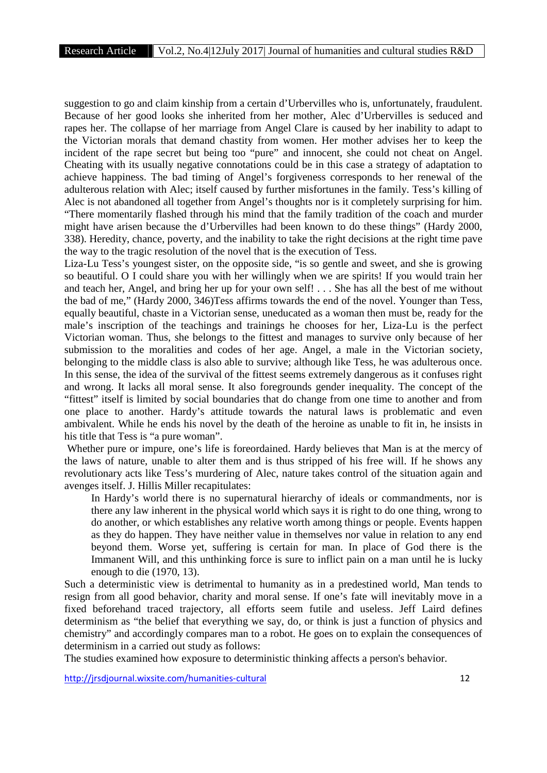suggestion to go and claim kinship from a certain d'Urbervilles who is, unfortunately, fraudulent. Because of her good looks she inherited from her mother, Alec d'Urbervilles is seduced and rapes her. The collapse of her marriage from Angel Clare is caused by her inability to adapt to the Victorian morals that demand chastity from women. Her mother advises her to keep the incident of the rape secret but being too "pure" and innocent, she could not cheat on Angel. Cheating with its usually negative connotations could be in this case a strategy of adaptation to achieve happiness. The bad timing of Angel's forgiveness corresponds to her renewal of the adulterous relation with Alec; itself caused by further misfortunes in the family. Tess's killing of Alec is not abandoned all together from Angel's thoughts nor is it completely surprising for him. "There momentarily flashed through his mind that the family tradition of the coach and murder might have arisen because the d'Urbervilles had been known to do these things" (Hardy 2000, 338). Heredity, chance, poverty, and the inability to take the right decisions at the right time pave the way to the tragic resolution of the novel that is the execution of Tess.

Liza-Lu Tess's youngest sister, on the opposite side, "is so gentle and sweet, and she is growing so beautiful. O I could share you with her willingly when we are spirits! If you would train her and teach her, Angel, and bring her up for your own self! . . . She has all the best of me without the bad of me," (Hardy 2000, 346)Tess affirms towards the end of the novel. Younger than Tess, equally beautiful, chaste in a Victorian sense, uneducated as a woman then must be, ready for the male's inscription of the teachings and trainings he chooses for her, Liza-Lu is the perfect Victorian woman. Thus, she belongs to the fittest and manages to survive only because of her submission to the moralities and codes of her age. Angel, a male in the Victorian society, belonging to the middle class is also able to survive; although like Tess, he was adulterous once. In this sense, the idea of the survival of the fittest seems extremely dangerous as it confuses right and wrong. It lacks all moral sense. It also foregrounds gender inequality. The concept of the "fittest" itself is limited by social boundaries that do change from one time to another and from one place to another. Hardy's attitude towards the natural laws is problematic and even ambivalent. While he ends his novel by the death of the heroine as unable to fit in, he insists in his title that Tess is "a pure woman".

Whether pure or impure, one's life is foreordained. Hardy believes that Man is at the mercy of the laws of nature, unable to alter them and is thus stripped of his free will. If he shows any revolutionary acts like Tess's murdering of Alec, nature takes control of the situation again and avenges itself. J. Hillis Miller recapitulates:

In Hardy's world there is no supernatural hierarchy of ideals or commandments, nor is there any law inherent in the physical world which says it is right to do one thing, wrong to do another, or which establishes any relative worth among things or people. Events happen as they do happen. They have neither value in themselves nor value in relation to any end beyond them. Worse yet, suffering is certain for man. In place of God there is the Immanent Will, and this unthinking force is sure to inflict pain on a man until he is lucky enough to die (1970, 13).

Such a deterministic view is detrimental to humanity as in a predestined world, Man tends to resign from all good behavior, charity and moral sense. If one's fate will inevitably move in a fixed beforehand traced trajectory, all efforts seem futile and useless. Jeff Laird defines determinism as "the belief that everything we say, do, or think is just a function of physics and chemistry" and accordingly compares man to a robot. He goes on to explain the consequences of determinism in a carried out study as follows:

The studies examined how exposure to deterministic thinking affects a person's behavior.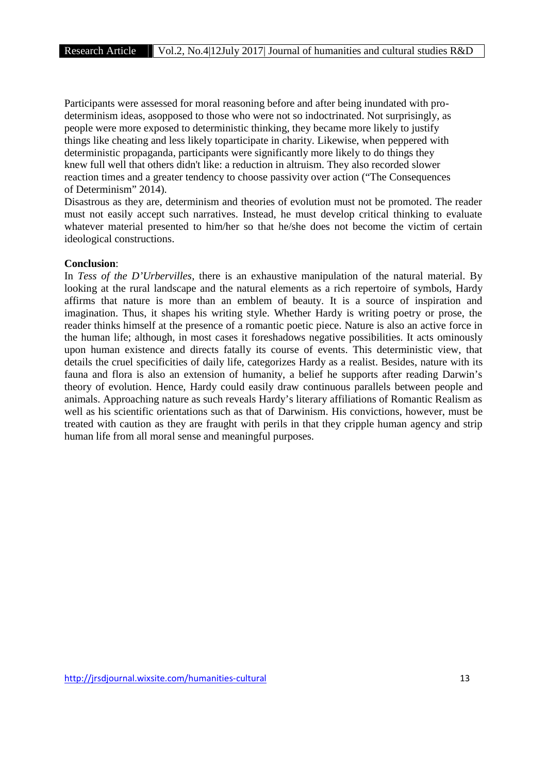Participants were assessed for moral reasoning before and after being inundated with pro determinism ideas, asopposed to those who were not so indoctrinated. Not surprisingly, as people were more exposed to deterministic thinking, they became more likely to justify things like cheating and less likely toparticipate in charity. Likewise, when peppered with deterministic propaganda, participants were significantly more likely to do things they knew full well that others didn't like: a reduction in altruism. They also recorded slower reaction times and a greater tendency to choose passivity over action ("The Consequences of Determinism" 2014).

Disastrous as they are, determinism and theories of evolution must not be promoted. The reader must not easily accept such narratives. Instead, he must develop critical thinking to evaluate whatever material presented to him/her so that he/she does not become the victim of certain ideological constructions.

#### **Conclusion**:

In *Tess of the D'Urbervilles*, there is an exhaustive manipulation of the natural material. By looking at the rural landscape and the natural elements as a rich repertoire of symbols, Hardy affirms that nature is more than an emblem of beauty. It is a source of inspiration and imagination. Thus, it shapes his writing style. Whether Hardy is writing poetry or prose, the reader thinks himself at the presence of a romantic poetic piece. Nature is also an active force in the human life; although, in most cases it foreshadows negative possibilities. It acts ominously upon human existence and directs fatally its course of events. This deterministic view, that details the cruel specificities of daily life, categorizes Hardy as a realist. Besides, nature with its fauna and flora is also an extension of humanity, a belief he supports after reading Darwin's theory of evolution. Hence, Hardy could easily draw continuous parallels between people and animals. Approaching nature as such reveals Hardy's literary affiliations of Romantic Realism as well as his scientific orientations such as that of Darwinism. His convictions, however, must be treated with caution as they are fraught with perils in that they cripple human agency and strip human life from all moral sense and meaningful purposes.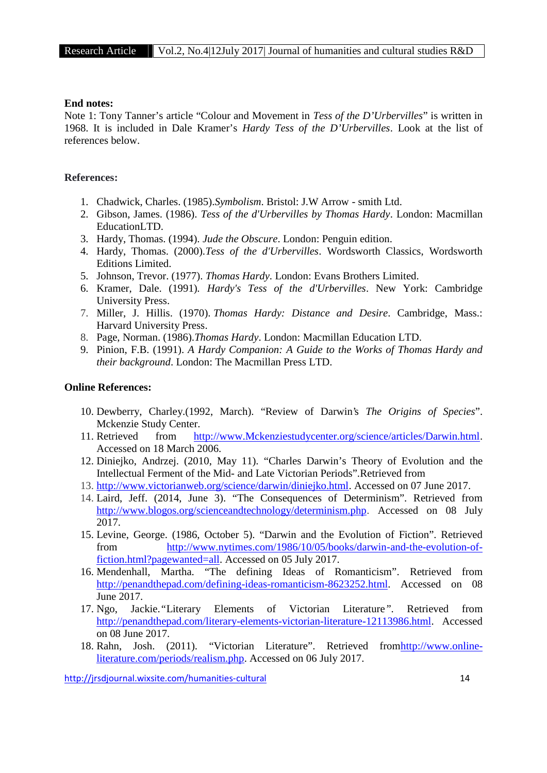# **End notes:**

Note 1: Tony Tanner's article "Colour and Movement in *Tess of the D'Urbervilles*" is written in 1968. It is included in Dale Kramer's *Hardy Tess of the D'Urbervilles*. Look at the list of references below.

# **References:**

- 1. Chadwick, Charles. (1985).*Symbolism*. Bristol: J.W Arrow smith Ltd.
- 2. Gibson, James. (1986). *Tess of the d'Urbervilles by Thomas Hardy*. London: Macmillan EducationLTD.
- 3. Hardy, Thomas. (1994). *Jude the Obscure*. London: Penguin edition.
- 4. Hardy, Thomas. (2000).*Tess of the d'Urbervilles*. Wordsworth Classics, Wordsworth Editions Limited.
- 5. Johnson, Trevor. (1977). *Thomas Hardy*. London: Evans Brothers Limited.
- 6. Kramer, Dale. (1991)*. Hardy's Tess of the d'Urbervilles*. New York: Cambridge University Press.
- 7. Miller, J. Hillis. (1970). *Thomas Hardy: Distance and Desire*. Cambridge, Mass.: Harvard University Press.
- 8. Page, Norman. (1986).*Thomas Hardy*. London: Macmillan Education LTD.
- 9. Pinion, F.B. (1991). *A Hardy Companion: A Guide to the Works of Thomas Hardy and their background*. London: The Macmillan Press LTD.

## **Online References:**

- 10. Dewberry, Charley.(1992, March). "Review of Darwin's *The Origins of Species*". Mckenzie Study Center.
- 11. Retrieved from http://www.Mckenziestudycenter.org/science/articles/Darwin.html. Accessed on 18 March 2006.
- 12. Diniejko, Andrzej. (2010, May 11). "Charles Darwin's Theory of Evolution and the Intellectual Ferment of the Mid- and Late Victorian Periods".Retrieved from
- 13. http://www.victorianweb.org/science/darwin/diniejko.html. Accessed on 07 June 2017.
- 14. Laird, Jeff. (2014, June 3). "The Consequences of Determinism". Retrieved from http://www.blogos.org/scienceandtechnology/determinism.php. Accessed on 08 July 2017.
- 15. Levine, George. (1986, October 5). "Darwin and the Evolution of Fiction". Retrieved from http://www.nytimes.com/1986/10/05/books/darwin-and-the-evolution-offiction.html?pagewanted=all. Accessed on 05 July 2017.
- 16. Mendenhall, Martha. "The defining Ideas of Romanticism". Retrieved from http://penandthepad.com/defining-ideas-romanticism-8623252.html. Accessed on 08 June 2017.
- 17. Ngo, Jackie.*"*Literary Elements of Victorian Literature*"*. Retrieved from http://penandthepad.com/literary-elements-victorian-literature-12113986.html. Accessed on 08 June 2017.
- 18. Rahn, Josh. (2011). "Victorian Literature". Retrieved fromhttp://www.onlineliterature.com/periods/realism.php. Accessed on 06 July 2017.